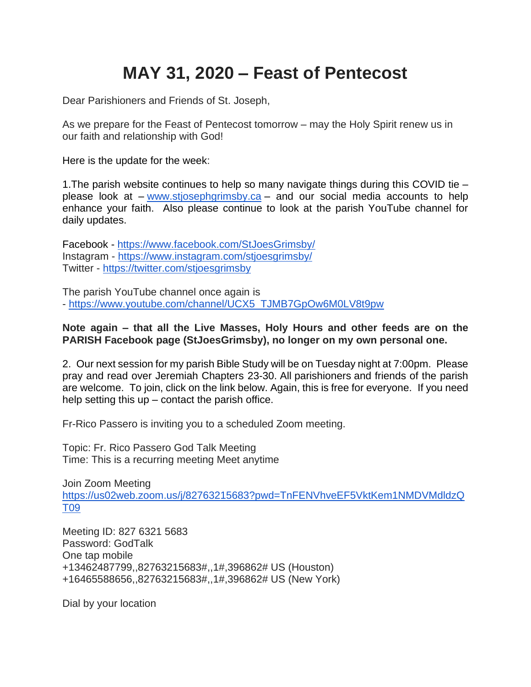# **MAY 31, 2020 – Feast of Pentecost**

Dear Parishioners and Friends of St. Joseph,

As we prepare for the Feast of Pentecost tomorrow – may the Holy Spirit renew us in our faith and relationship with God!

Here is the update for the week:

1.The parish website continues to help so many navigate things during this COVID tie – please look at – [www.stjosephgrimsby.ca](http://www.stjosephgrimsby.ca/) – and our social media accounts to help enhance your faith. Also please continue to look at the parish YouTube channel for daily updates.

Facebook - <https://www.facebook.com/StJoesGrimsby/> Instagram - <https://www.instagram.com/stjoesgrimsby/> Twitter - <https://twitter.com/stjoesgrimsby>

The parish YouTube channel once again is - [https://www.youtube.com/channel/UCX5\\_TJMB7GpOw6M0LV8t9pw](https://www.youtube.com/channel/UCX5_TJMB7GpOw6M0LV8t9pw)

## **Note again – that all the Live Masses, Holy Hours and other feeds are on the PARISH Facebook page (StJoesGrimsby), no longer on my own personal one.**

2. Our next session for my parish Bible Study will be on Tuesday night at 7:00pm. Please pray and read over Jeremiah Chapters 23-30. All parishioners and friends of the parish are welcome. To join, click on the link below. Again, this is free for everyone. If you need help setting this  $up$  – contact the parish office.

Fr-Rico Passero is inviting you to a scheduled Zoom meeting.

Topic: Fr. Rico Passero God Talk Meeting Time: This is a recurring meeting Meet anytime

Join Zoom Meeting [https://us02web.zoom.us/j/82763215683?pwd=TnFENVhveEF5VktKem1NMDVMdldzQ](https://us02web.zoom.us/j/82763215683?pwd=TnFENVhveEF5VktKem1NMDVMdldzQT09) [T09](https://us02web.zoom.us/j/82763215683?pwd=TnFENVhveEF5VktKem1NMDVMdldzQT09)

Meeting ID: 827 6321 5683 Password: GodTalk One tap mobile +13462487799,,82763215683#,,1#,396862# US (Houston) +16465588656,,82763215683#,,1#,396862# US (New York)

Dial by your location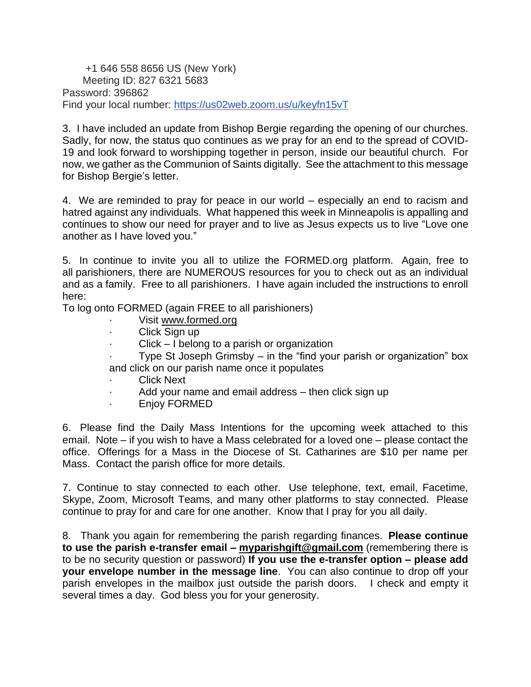+1 646 558 8656 US (New York) Meeting ID: 827 6321 5683 Password: 396862 Find your local number: <https://us02web.zoom.us/u/keyfn15vT>

3. I have included an update from Bishop Bergie regarding the opening of our churches. Sadly, for now, the status quo continues as we pray for an end to the spread of COVID-19 and look forward to worshipping together in person, inside our beautiful church. For now, we gather as the Communion of Saints digitally. See the attachment to this message for Bishop Bergie's letter.

4. We are reminded to pray for peace in our world – especially an end to racism and hatred against any individuals. What happened this week in Minneapolis is appalling and continues to show our need for prayer and to live as Jesus expects us to live "Love one another as I have loved you."

5. In continue to invite you all to utilize the FORMED.org platform. Again, free to all parishioners, there are NUMEROUS resources for you to check out as an individual and as a family. Free to all parishioners. I have again included the instructions to enroll here:

To log onto FORMED (again FREE to all parishioners)

- Visit [www.formed.org](http://www.formed.org/)
- · Click Sign up
- Click I belong to a parish or organization
- Type St Joseph Grimsby  $-$  in the "find your parish or organization" box and click on our parish name once it populates
- **Click Next**
- Add your name and email address  $-$  then click sign up
- · Enjoy FORMED

6. Please find the Daily Mass Intentions for the upcoming week attached to this email. Note – if you wish to have a Mass celebrated for a loved one – please contact the office. Offerings for a Mass in the Diocese of St. Catharines are \$10 per name per Mass. Contact the parish office for more details.

7. Continue to stay connected to each other. Use telephone, text, email, Facetime, Skype, Zoom, Microsoft Teams, and many other platforms to stay connected. Please continue to pray for and care for one another. Know that I pray for you all daily.

8. Thank you again for remembering the parish regarding finances. **Please continue to use the parish e-transfer email – [myparishgift@gmail.com](mailto:myparishgift@gmail.com)** (remembering there is to be no security question or password) **If you use the e-transfer option – please add your envelope number in the message line**. You can also continue to drop off your parish envelopes in the mailbox just outside the parish doors. I check and empty it several times a day. God bless you for your generosity.